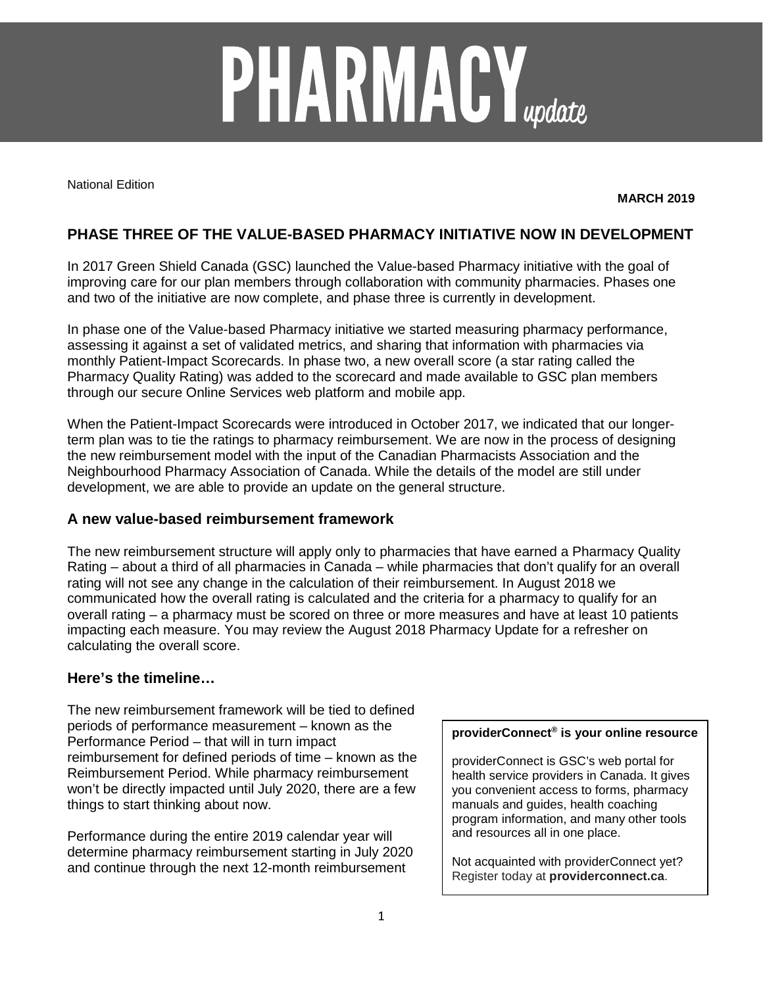# **PHARMACY**<sub>update</sub>

National Edition

**MARCH 2019**

# **PHASE THREE OF THE VALUE-BASED PHARMACY INITIATIVE NOW IN DEVELOPMENT**

In 2017 Green Shield Canada (GSC) launched the Value-based Pharmacy initiative with the goal of improving care for our plan members through collaboration with community pharmacies. Phases one and two of the initiative are now complete, and phase three is currently in development.

In phase one of the Value-based Pharmacy initiative we started measuring pharmacy performance, assessing it against a set of validated metrics, and sharing that information with pharmacies via monthly Patient-Impact Scorecards. In phase two, a new overall score (a star rating called the Pharmacy Quality Rating) was added to the scorecard and made available to GSC plan members through our secure Online Services web platform and mobile app.

When the Patient-Impact Scorecards were introduced in October 2017, we indicated that our longerterm plan was to tie the ratings to pharmacy reimbursement. We are now in the process of designing the new reimbursement model with the input of the Canadian Pharmacists Association and the Neighbourhood Pharmacy Association of Canada. While the details of the model are still under development, we are able to provide an update on the general structure.

## **A new value-based reimbursement framework**

The new reimbursement structure will apply only to pharmacies that have earned a Pharmacy Quality Rating – about a third of all pharmacies in Canada – while pharmacies that don't qualify for an overall rating will not see any change in the calculation of their reimbursement. In August 2018 we communicated how the overall rating is calculated and the criteria for a pharmacy to qualify for an overall rating – a pharmacy must be scored on three or more measures and have at least 10 patients impacting each measure. You may review the August 2018 Pharmacy Update for a refresher on calculating the overall score.

# **Here's the timeline…**

The new reimbursement framework will be tied to defined periods of performance measurement – known as the Performance Period – that will in turn impact reimbursement for defined periods of time – known as the Reimbursement Period. While pharmacy reimbursement won't be directly impacted until July 2020, there are a few things to start thinking about now.

Performance during the entire 2019 calendar year will determine pharmacy reimbursement starting in July 2020 and continue through the next 12-month reimbursement

### **providerConnect® is your online resource**

providerConnect is GSC's web portal for health service providers in Canada. It gives you convenient access to forms, pharmacy manuals and guides, health coaching program information, and many other tools and resources all in one place.

Not acquainted with providerConnect yet? Register today at **providerconnect.ca**.